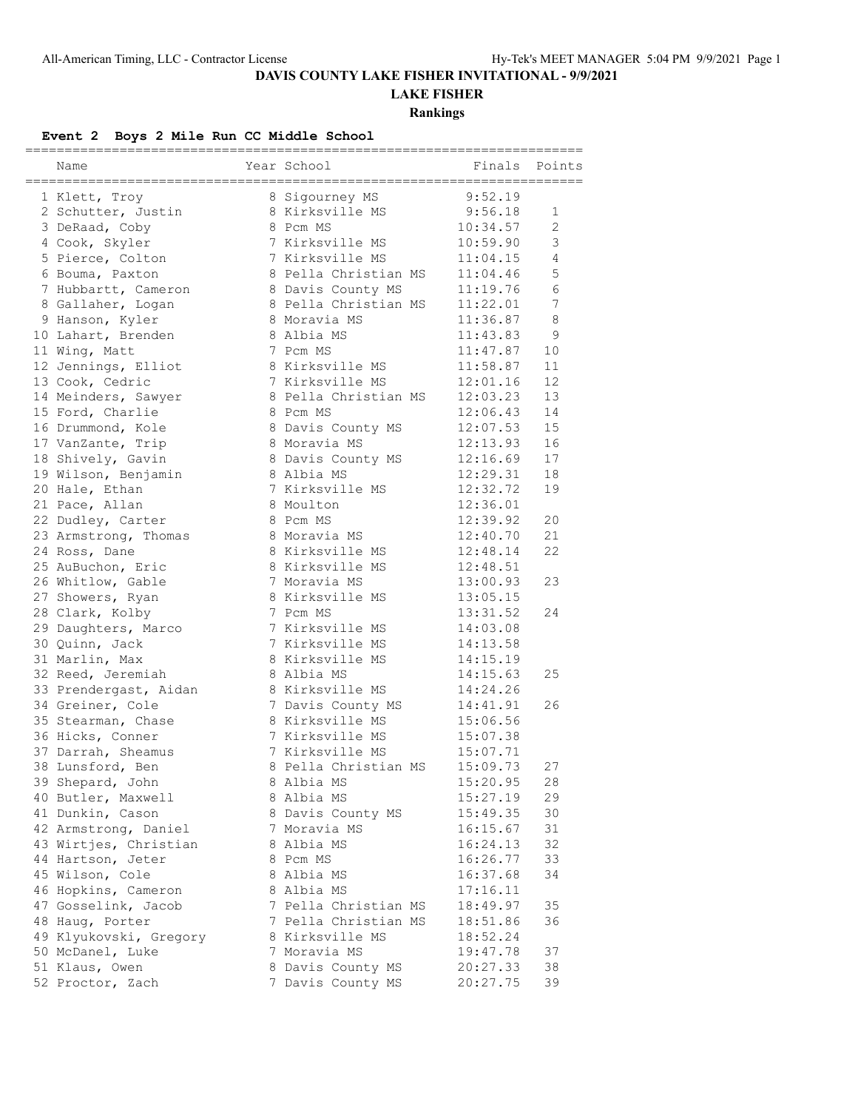# **DAVIS COUNTY LAKE FISHER INVITATIONAL - 9/9/2021**

**LAKE FISHER**

**Rankings**

### **Event 2 Boys 2 Mile Run CC Middle School**

|                        |                      | :====================== |                |
|------------------------|----------------------|-------------------------|----------------|
| Name                   | Year School          | Finals                  | Points         |
| 1 Klett, Troy          | 8 Sigourney MS       | 9:52.19                 |                |
| 2 Schutter, Justin     | 8 Kirksville MS      | 9:56.18                 | 1              |
| 3 DeRaad, Coby         | 8 Pcm MS             | 10:34.57                | $\overline{2}$ |
| 4 Cook, Skyler         | 7 Kirksville MS      | 10:59.90                | 3              |
| 5 Pierce, Colton       | 7 Kirksville MS      | 11:04.15                | 4              |
| 6 Bouma, Paxton        | 8 Pella Christian MS | 11:04.46                | 5              |
| 7 Hubbartt, Cameron    | 8 Davis County MS    | 11:19.76                | 6              |
| 8 Gallaher, Logan      | 8 Pella Christian MS | 11:22.01                | 7              |
| 9 Hanson, Kyler        | 8 Moravia MS         | 11:36.87                | 8              |
| 10 Lahart, Brenden     | 8 Albia MS           | 11:43.83                | 9              |
| 11 Wing, Matt          | 7 Pcm MS             | 11:47.87                | 10             |
| 12 Jennings, Elliot    | 8 Kirksville MS      | 11:58.87                | 11             |
| 13 Cook, Cedric        | 7 Kirksville MS      | 12:01.16                | 12             |
|                        | 8 Pella Christian MS | 12:03.23                | 13             |
| 14 Meinders, Sawyer    | 8 Pcm MS             | 12:06.43                | 14             |
| 15 Ford, Charlie       |                      |                         | 15             |
| 16 Drummond, Kole      | 8 Davis County MS    | 12:07.53                |                |
| 17 VanZante, Trip      | 8 Moravia MS         | 12:13.93                | 16             |
| 18 Shively, Gavin      | 8 Davis County MS    | 12:16.69                | 17             |
| 19 Wilson, Benjamin    | 8 Albia MS           | 12:29.31                | 18             |
| 20 Hale, Ethan         | 7 Kirksville MS      | 12:32.72                | 19             |
| 21 Pace, Allan         | 8 Moulton            | 12:36.01                |                |
| 22 Dudley, Carter      | 8 Pcm MS             | 12:39.92                | 20             |
| 23 Armstrong, Thomas   | 8 Moravia MS         | 12:40.70                | 21             |
| 24 Ross, Dane          | 8 Kirksville MS      | 12:48.14                | 22             |
| 25 AuBuchon, Eric      | 8 Kirksville MS      | 12:48.51                |                |
| 26 Whitlow, Gable      | 7 Moravia MS         | 13:00.93                | 23             |
| 27 Showers, Ryan       | 8 Kirksville MS      | 13:05.15                |                |
| 28 Clark, Kolby        | 7 Pcm MS             | 13:31.52                | 24             |
| 29 Daughters, Marco    | 7 Kirksville MS      | 14:03.08                |                |
| 30 Quinn, Jack         | 7 Kirksville MS      | 14:13.58                |                |
| 31 Marlin, Max         | 8 Kirksville MS      | 14:15.19                |                |
| 32 Reed, Jeremiah      | 8 Albia MS           | 14:15.63                | 25             |
| 33 Prendergast, Aidan  | 8 Kirksville MS      | 14:24.26                |                |
| 34 Greiner, Cole       | 7 Davis County MS    | 14:41.91                | 26             |
| 35 Stearman, Chase     | 8 Kirksville MS      | 15:06.56                |                |
| 36 Hicks, Conner       | 7 Kirksville MS      | 15:07.38                |                |
| 37 Darrah, Sheamus     | 7 Kirksville MS      | 15:07.71                |                |
| 38 Lunsford, Ben       | 8 Pella Christian MS | 15:09.73                | 27             |
| 39 Shepard, John       | 8 Albia MS           | 15:20.95                | 28             |
| 40 Butler, Maxwell     | 8 Albia MS           | 15:27.19                | 29             |
| 41 Dunkin, Cason       | 8 Davis County MS    | 15:49.35                | 30             |
| 42 Armstrong, Daniel   | 7 Moravia MS         | 16:15.67                | 31             |
| 43 Wirtjes, Christian  | 8 Albia MS           | 16:24.13                | 32             |
| 44 Hartson, Jeter      | 8 Pcm MS             | 16:26.77                | 33             |
| 45 Wilson, Cole        | 8 Albia MS           | 16:37.68                | 34             |
| 46 Hopkins, Cameron    | 8 Albia MS           | 17:16.11                |                |
| 47 Gosselink, Jacob    | 7 Pella Christian MS | 18:49.97                | 35             |
| 48 Haug, Porter        | 7 Pella Christian MS | 18:51.86                | 36             |
| 49 Klyukovski, Gregory | 8 Kirksville MS      | 18:52.24                |                |
| 50 McDanel, Luke       | 7 Moravia MS         | 19:47.78                | 37             |
| 51 Klaus, Owen         | 8 Davis County MS    | 20:27.33                | 38             |
| 52 Proctor, Zach       | 7 Davis County MS    | 20:27.75                | 39             |